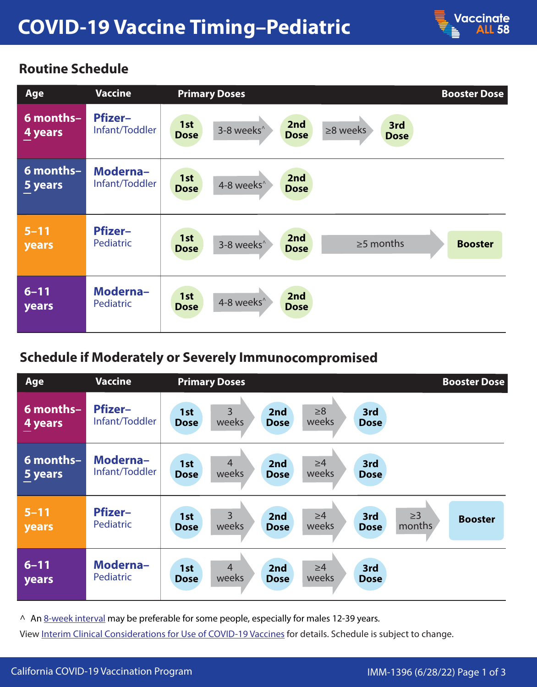

## **Routine Schedule**

| Age                      | <b>Vaccine</b>                   | <b>Primary Doses</b>                                                                                       | <b>Booster Dose</b> |
|--------------------------|----------------------------------|------------------------------------------------------------------------------------------------------------|---------------------|
| 6 months-<br>4 years     | <b>Pfizer-</b><br>Infant/Toddler | 2nd<br>1st<br>3rd<br>3-8 weeks <sup>^</sup><br>$\geq$ 8 weeks<br><b>Dose</b><br><b>Dose</b><br><b>Dose</b> |                     |
| 6 months-<br>5 years     | Moderna-<br>Infant/Toddler       | 2nd<br>1st<br>4-8 weeks <sup>^</sup><br><b>Dose</b><br><b>Dose</b>                                         |                     |
| $5 - 11$<br><b>years</b> | <b>Pfizer-</b><br>Pediatric      | 2nd<br>1st<br>$\geq$ 5 months<br>3-8 weeks <sup>^</sup><br><b>Dose</b><br><b>Dose</b>                      | <b>Booster</b>      |
| $6 - 11$<br><b>years</b> | Moderna-<br>Pediatric            | 2nd<br>1st<br>4-8 weeks <sup>^</sup><br><b>Dose</b><br><b>Dose</b>                                         |                     |

## **Schedule if Moderately or Severely Immunocompromised**

| Age                      | <b>Vaccine</b>                   | <b>Primary Doses</b>                                                                                                                 | <b>Booster Dose</b> |
|--------------------------|----------------------------------|--------------------------------------------------------------------------------------------------------------------------------------|---------------------|
| $6$ months-<br>4 years   | <b>Pfizer-</b><br>Infant/Toddler | $\overline{3}$<br>$\geq 8$<br>2nd<br>3rd<br>1st<br>weeks<br>weeks<br><b>Dose</b><br><b>Dose</b><br><b>Dose</b>                       |                     |
| 6 months-<br>5 years     | Moderna-<br>Infant/Toddler       | $\overline{4}$<br>$\geq 4$<br>3rd<br>2nd<br>1st<br>weeks<br>weeks<br><b>Dose</b><br><b>Dose</b><br><b>Dose</b>                       |                     |
| $5 - 11$<br>years        | <b>Pfizer-</b><br>Pediatric      | $\overline{3}$<br>$\geq$ 3<br>$\geq 4$<br>2nd<br>3rd<br>1st<br>weeks<br>months<br>weeks<br><b>Dose</b><br><b>Dose</b><br><b>Dose</b> | <b>Booster</b>      |
| $6 - 11$<br><b>years</b> | Moderna-<br><b>Pediatric</b>     | $\overline{4}$<br>$\geq 4$<br>2nd<br>3rd<br>1st<br>weeks<br>weeks<br><b>Dose</b><br><b>Dose</b><br><b>Dose</b>                       |                     |

^ A[n 8-week interval m](https://www.cdc.gov/vaccines/covid-19/clinical-considerations/interim-considerations-us.html#not-immunocompromised)ay be preferable for some people, especially for males 12-39 years.

View [Interim Clinical Considerations for Use of COVID-19 Vaccines fo](https://www.cdc.gov/vaccines/covid-19/clinical-considerations/covid-19-vaccines-us.html)r details. Schedule is subject to change.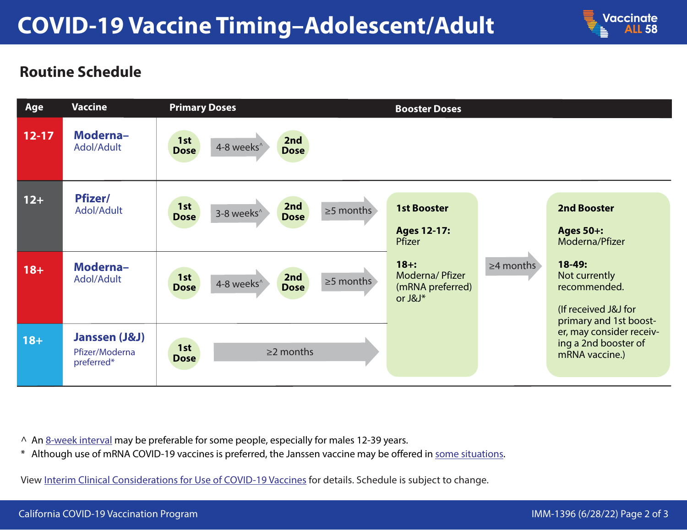

## **Routine Schedule**



^ An [8-week interval m](https://www.cdc.gov/vaccines/covid-19/clinical-considerations/interim-considerations-us.html#not-immunocompromised)ay be preferable for some people, especially for males 12-39 years.

\* Although use of mRNA COVID-19 vaccines is preferred, the Janssen vaccine may be offered in [some situations.](https://www.cdc.gov/coronavirus/2019-ncov/vaccines/different-vaccines/janssen.html#When-to-Consider-J&J)

View [Interim Clinical Considerations for Use of COVID-19 Vaccines](https://www.cdc.gov/vaccines/covid-19/clinical-considerations/covid-19-vaccines-us.html) for details. Schedule is subject to change.